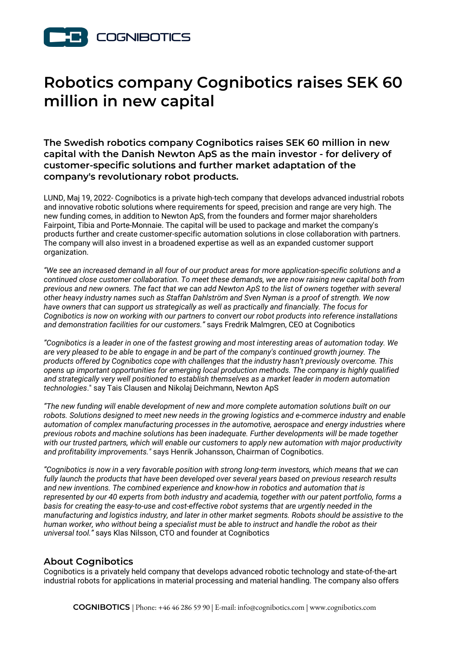

# **Robotics company Cognibotics raises SEK 60 million in new capital**

**The Swedish robotics company Cognibotics raises SEK 60 million in new capital with the Danish Newton ApS as the main investor - for delivery of customer-specific solutions and further market adaptation of the company's revolutionary robot products.** 

LUND, Maj 19, 2022- Cognibotics is a private high-tech company that develops advanced industrial robots and innovative robotic solutions where requirements for speed, precision and range are very high. The new funding comes, in addition to Newton ApS, from the founders and former major shareholders Fairpoint, Tibia and Porte-Monnaie. The capital will be used to package and market the company's products further and create customer-specific automation solutions in close collaboration with partners. The company will also invest in a broadened expertise as well as an expanded customer support organization.

*"We see an increased demand in all four of our product areas for more application-specific solutions and a continued close customer collaboration. To meet these demands, we are now raising new capital both from previous and new owners. The fact that we can add Newton ApS to the list of owners together with several other heavy industry names such as Staffan Dahlström and Sven Nyman is a proof of strength. We now have owners that can support us strategically as well as practically and financially. The focus for Cognibotics is now on working with our partners to convert our robot products into reference installations and demonstration facilities for our customers."* says Fredrik Malmgren, CEO at Cognibotics

*"Cognibotics is a leader in one of the fastest growing and most interesting areas of automation today. We are very pleased to be able to engage in and be part of the company's continued growth journey. The products offered by Cognibotics cope with challenges that the industry hasn't previously overcome. This opens up important opportunities for emerging local production methods. The company is highly qualified and strategically very well positioned to establish themselves as a market leader in modern automation technologies*." say Tais Clausen and Nikolaj Deichmann, Newton ApS

*"The new funding will enable development of new and more complete automation solutions built on our robots. Solutions designed to meet new needs in the growing logistics and e-commerce industry and enable automation of complex manufacturing processes in the automotive, aerospace and energy industries where previous robots and machine solutions has been inadequate. Further developments will be made together with our trusted partners, which will enable our customers to apply new automation with major productivity and profitability improvements."* says Henrik Johansson, Chairman of Cognibotics.

*"Cognibotics is now in a very favorable position with strong long-term investors, which means that we can fully launch the products that have been developed over several years based on previous research results and new inventions. The combined experience and know-how in robotics and automation that is represented by our 40 experts from both industry and academia, together with our patent portfolio, forms a basis for creating the easy-to-use and cost-effective robot systems that are urgently needed in the manufacturing and logistics industry, and later in other market segments. Robots should be assistive to the human worker, who without being a specialist must be able to instruct and handle the robot as their universal tool."* says Klas Nilsson, CTO and founder at Cognibotics

### **About Cognibotics**

Cognibotics is a privately held company that develops advanced robotic technology and state-of-the-art industrial robots for applications in material processing and material handling. The company also offers